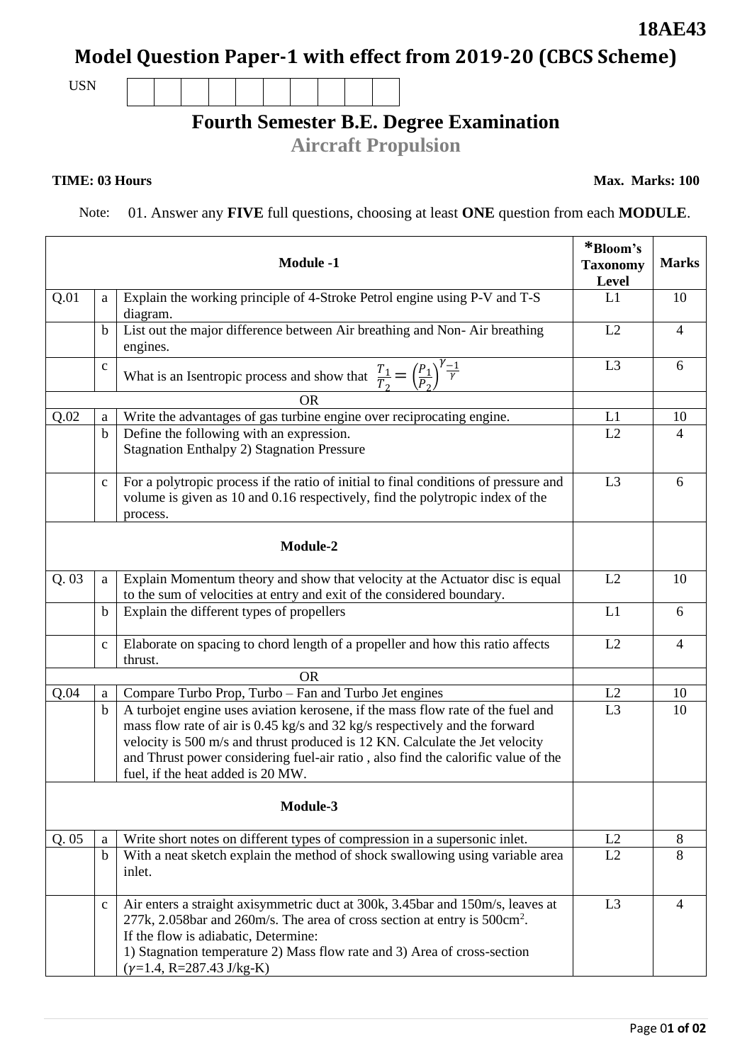# **Model Question Paper-1 with effect from 2019-20 (CBCS Scheme)**

USN

### **Fourth Semester B.E. Degree Examination**

**Aircraft Propulsion**

#### **TIME: 03 Hours**

Note: 01. Answer any **FIVE** full questions, choosing at least **ONE** question from each **MODULE**.

|          |              | <b>Module -1</b>                                                                                                                                                                                                                                                                                                                                                         | *Bloom's<br><b>Taxonomy</b><br>Level | <b>Marks</b>   |
|----------|--------------|--------------------------------------------------------------------------------------------------------------------------------------------------------------------------------------------------------------------------------------------------------------------------------------------------------------------------------------------------------------------------|--------------------------------------|----------------|
| Q.01     | a            | Explain the working principle of 4-Stroke Petrol engine using P-V and T-S<br>diagram.                                                                                                                                                                                                                                                                                    | L1                                   | 10             |
|          | b            | List out the major difference between Air breathing and Non-Air breathing<br>engines.                                                                                                                                                                                                                                                                                    | L2                                   | $\overline{4}$ |
|          | $\mathbf c$  | What is an Isentropic process and show that $\frac{T_1}{T_2} = \left(\frac{P_1}{P_2}\right)^{\gamma - 1}$                                                                                                                                                                                                                                                                | L <sub>3</sub>                       | 6              |
|          |              | <b>OR</b>                                                                                                                                                                                                                                                                                                                                                                |                                      |                |
| Q.02     | a            | Write the advantages of gas turbine engine over reciprocating engine.                                                                                                                                                                                                                                                                                                    | L1                                   | 10             |
|          | $\mathbf b$  | Define the following with an expression.<br><b>Stagnation Enthalpy 2) Stagnation Pressure</b>                                                                                                                                                                                                                                                                            | L2                                   | 4              |
|          | $\mathbf{C}$ | For a polytropic process if the ratio of initial to final conditions of pressure and<br>volume is given as 10 and 0.16 respectively, find the polytropic index of the<br>process.                                                                                                                                                                                        | L <sub>3</sub>                       | 6              |
|          |              | Module-2                                                                                                                                                                                                                                                                                                                                                                 |                                      |                |
| Q.03     | a            | Explain Momentum theory and show that velocity at the Actuator disc is equal<br>to the sum of velocities at entry and exit of the considered boundary.                                                                                                                                                                                                                   | L2                                   | 10             |
|          | b            | Explain the different types of propellers                                                                                                                                                                                                                                                                                                                                | L1                                   | 6              |
|          | $\mathbf{C}$ | Elaborate on spacing to chord length of a propeller and how this ratio affects<br>thrust.                                                                                                                                                                                                                                                                                | L2                                   | $\overline{4}$ |
|          |              | <b>OR</b>                                                                                                                                                                                                                                                                                                                                                                |                                      |                |
| Q.04     | a            | Compare Turbo Prop, Turbo – Fan and Turbo Jet engines                                                                                                                                                                                                                                                                                                                    | L2                                   | 10             |
|          | $\mathbf b$  | A turbojet engine uses aviation kerosene, if the mass flow rate of the fuel and<br>mass flow rate of air is 0.45 kg/s and 32 kg/s respectively and the forward<br>velocity is 500 m/s and thrust produced is 12 KN. Calculate the Jet velocity<br>and Thrust power considering fuel-air ratio, also find the calorific value of the<br>fuel, if the heat added is 20 MW. | L3                                   | 10             |
| Module-3 |              |                                                                                                                                                                                                                                                                                                                                                                          |                                      |                |
| Q.05     | a            | Write short notes on different types of compression in a supersonic inlet.                                                                                                                                                                                                                                                                                               | L2                                   | 8              |
|          | $\mathbf b$  | With a neat sketch explain the method of shock swallowing using variable area<br>inlet.                                                                                                                                                                                                                                                                                  | L2                                   | 8              |
|          | $\mathbf{C}$ | Air enters a straight axisymmetric duct at 300k, 3.45bar and 150m/s, leaves at<br>$277k$ , 2.058bar and 260m/s. The area of cross section at entry is 500cm <sup>2</sup> .<br>If the flow is adiabatic, Determine:<br>1) Stagnation temperature 2) Mass flow rate and 3) Area of cross-section<br>$(y=1.4, R=287.43$ J/kg-K)                                             | L <sub>3</sub>                       | 4              |

**Max. Marks: 100**